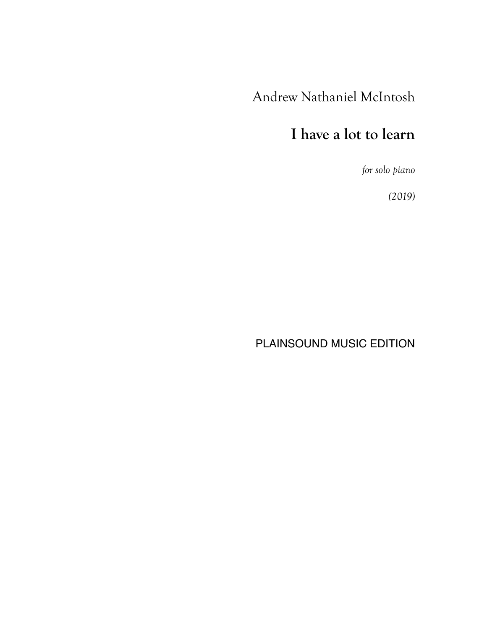## Andrew Nathaniel McIntosh

## **I have a lot to learn**

*for solo piano*

*(2019)*

PLAINSOUND MUSIC EDITION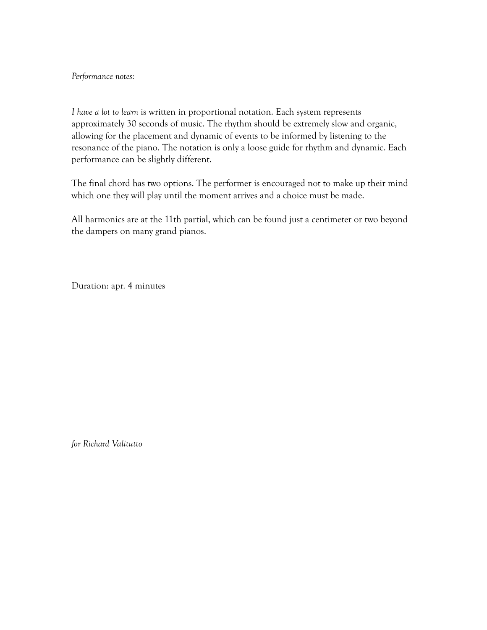## *Performance notes:*

*I have a lot to learn* is written in proportional notation. Each system represents approximately 30 seconds of music. The rhythm should be extremely slow and organic, allowing for the placement and dynamic of events to be informed by listening to the resonance of the piano. The notation is only a loose guide for rhythm and dynamic. Each performance can be slightly different.

The final chord has two options. The performer is encouraged not to make up their mind which one they will play until the moment arrives and a choice must be made.

All harmonics are at the 11th partial, which can be found just a centimeter or two beyond the dampers on many grand pianos.

Duration: apr. 4 minutes

*for Richard Valitutto*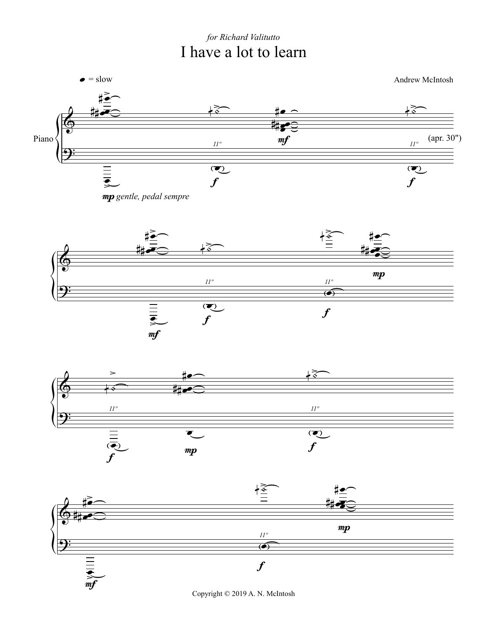## for Richard Valitutto I have a lot to learn



Copyright © 2019 A. N. McIntosh